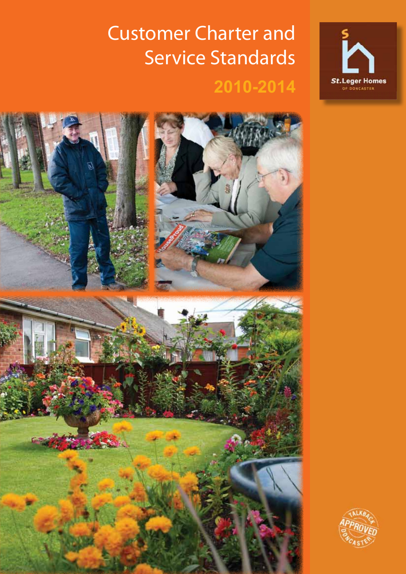## Customer Charter and Service Standards **2010-2014**





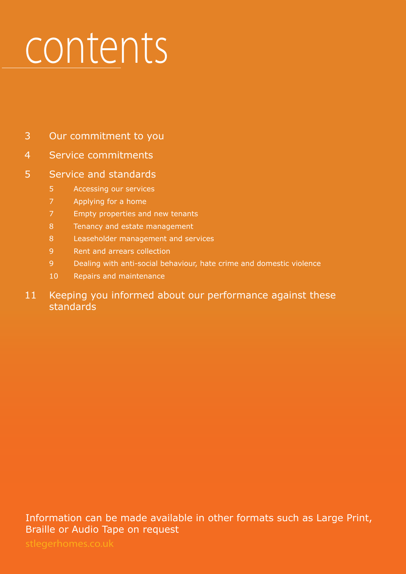## contents

- Our commitment to you
- Service commitments

## Service and standards

- Accessing our services
- Applying for a home
- Empty properties and new tenants
- Tenancy and estate management
- Leaseholder management and services
- Rent and arrears collection
- Dealing with anti-social behaviour, hate crime and domestic violence
- Repairs and maintenance

## 11 Keeping you informed about our performance against these standards

Information can be made available in other formats such as Large Print, Braille or Audio Tape on request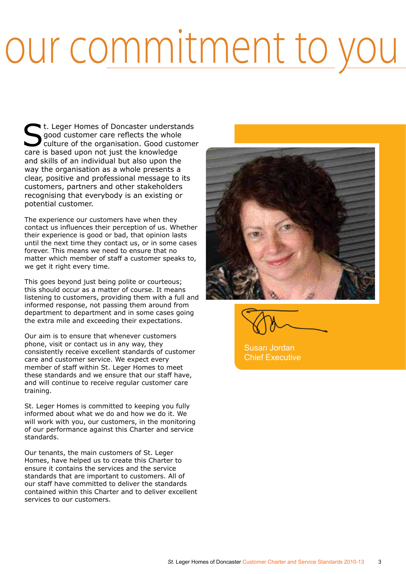## our commitment to you

St. Leger Homes of Doncaster understands<br>
culture of the organisation. Good customer<br>
sexe is based were not just the knowledge good customer care reflects the whole care is based upon not just the knowledge and skills of an individual but also upon the way the organisation as a whole presents a clear, positive and professional message to its customers, partners and other stakeholders recognising that everybody is an existing or potential customer.

The experience our customers have when they contact us influences their perception of us. Whether their experience is good or bad, that opinion lasts until the next time they contact us, or in some cases forever. This means we need to ensure that no matter which member of staff a customer speaks to, we get it right every time.

This goes beyond just being polite or courteous; this should occur as a matter of course. It means listening to customers, providing them with a full and informed response, not passing them around from department to department and in some cases going the extra mile and exceeding their expectations.

Our aim is to ensure that whenever customers phone, visit or contact us in any way, they consistently receive excellent standards of customer care and customer service. We expect every member of staff within St. Leger Homes to meet these standards and we ensure that our staff have, and will continue to receive regular customer care training.

St. Leger Homes is committed to keeping you fully informed about what we do and how we do it. We will work with you, our customers, in the monitoring of our performance against this Charter and service standards.

Our tenants, the main customers of St. Leger Homes, have helped us to create this Charter to ensure it contains the services and the service standards that are important to customers. All of our staff have committed to deliver the standards contained within this Charter and to deliver excellent services to our customers.



Susan Jordan Chief Executive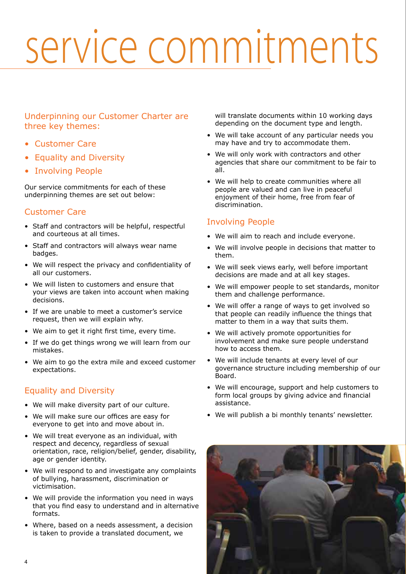## service commitments

### Underpinning our Customer Charter are three key themes:

- Customer Care
- Equality and Diversity
- Involving People

Our service commitments for each of these underpinning themes are set out below:

### Customer Care

- Staff and contractors will be helpful, respectful and courteous at all times.
- Staff and contractors will always wear name badges.
- We will respect the privacy and confidentiality of all our customers.
- We will listen to customers and ensure that your views are taken into account when making decisions.
- If we are unable to meet a customer's service request, then we will explain why.
- We aim to get it right first time, every time.
- If we do get things wrong we will learn from our mistakes.
- We aim to go the extra mile and exceed customer expectations.

## Equality and Diversity

- We will make diversity part of our culture.
- We will make sure our offices are easy for everyone to get into and move about in.
- We will treat everyone as an individual, with respect and decency, regardless of sexual orientation, race, religion/belief, gender, disability, age or gender identity.
- We will respond to and investigate any complaints of bullying, harassment, discrimination or victimisation.
- We will provide the information you need in ways that you find easy to understand and in alternative formats.
- Where, based on a needs assessment, a decision is taken to provide a translated document, we

will translate documents within 10 working days depending on the document type and length.

- We will take account of any particular needs you may have and try to accommodate them.
- We will only work with contractors and other agencies that share our commitment to be fair to all.
- We will help to create communities where all people are valued and can live in peaceful enjoyment of their home, free from fear of discrimination.

### Involving People

- We will aim to reach and include everyone.
- We will involve people in decisions that matter to them.
- We will seek views early, well before important decisions are made and at all key stages.
- We will empower people to set standards, monitor them and challenge performance.
- We will offer a range of ways to get involved so that people can readily influence the things that matter to them in a way that suits them.
- We will actively promote opportunities for involvement and make sure people understand how to access them.
- We will include tenants at every level of our governance structure including membership of our Board.
- We will encourage, support and help customers to form local groups by giving advice and financial assistance.
- We will publish a bi monthly tenants' newsletter.

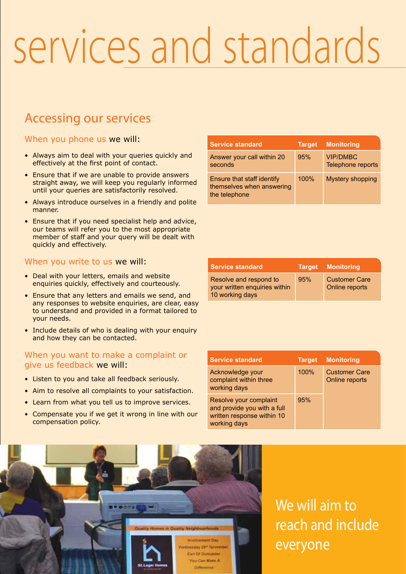## Accessing our services

#### When you phone us we will:

- Always aim to deal with your queries quickly and effectively at the first point of contact.
- Ensure that if we are unable to provide answers straight away, we will keep you regularly informed until your queries are satisfactorily resolved.
- Always introduce ourselves in a friendly and polite manner.
- Ensure that if you need specialist help and advice, our teams will refer you to the most appropriate member of staff and your query will be dealt with quickly and effectively.

#### When you write to us we will:

- Deal with your letters, emails and website enquiries quickly, effectively and courteously.
- Ensure that any letters and emails we send, and any responses to website enquiries, are clear, easy to understand and provided in a format tailored to your needs.
- Include details of who is dealing with your enquiry and how they can be contacted.

#### When you want to make a complaint or give us feedback we will:

- Listen to you and take all feedback seriously.
- Aim to resolve all complaints to your satisfaction.
- Learn from what you tell us to improve services.
- Compensate you if we get it wrong in line with our compensation policy.

| <b>Service standard</b>                                                  | <b>Target</b> | <b>Monitoring</b>                    |
|--------------------------------------------------------------------------|---------------|--------------------------------------|
| Answer your call within 20<br>seconds                                    | 95%           | <b>VIP/DMBC</b><br>Telephone reports |
| Ensure that staff identify<br>themselves when answering<br>the telephone | 100%          | <b>Mystery shopping</b>              |

| <b>Service standard</b>                                                    |     | Target Monitoring                      |
|----------------------------------------------------------------------------|-----|----------------------------------------|
| Resolve and respond to<br>your written enquiries within<br>10 working days | 95% | <b>Customer Care</b><br>Online reports |

| <b>Service standard</b>                                                                             | <b>Target</b> | <b>Monitoring</b>                      |
|-----------------------------------------------------------------------------------------------------|---------------|----------------------------------------|
| Acknowledge your<br>complaint within three<br>working days                                          | 100%          | <b>Customer Care</b><br>Online reports |
| Resolve your complaint<br>and provide you with a full<br>written response within 10<br>working days | 95%           |                                        |



We will aim to reach and include everyone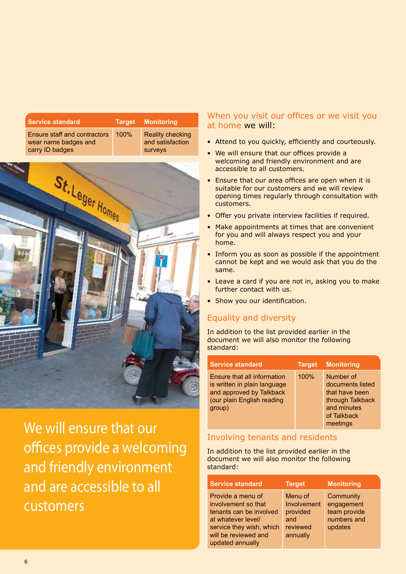| <b>Service standard</b>                                                        |      | Target Monitoring                                      |
|--------------------------------------------------------------------------------|------|--------------------------------------------------------|
| <b>Ensure staff and contractors</b><br>wear name badges and<br>carry ID badges | 100% | <b>Reality checking</b><br>and satisfaction<br>surveys |



We will ensure that our offices provide a welcoming and friendly environment and are accessible to all customers

### When you visit our offices or we visit you at home we will:

- Attend to you quickly, efficiently and courteously.
- We will ensure that our offices provide a welcoming and friendly environment and are accessible to all customers.
- Ensure that our area offices are open when it is suitable for our customers and we will review opening times regularly through consultation with customers.
- Offer you private interview facilities if required.
- Make appointments at times that are convenient for you and will always respect you and your home.
- Inform you as soon as possible if the appointment cannot be kept and we would ask that you do the same.
- Leave a card if you are not in, asking you to make further contact with us.
- Show you our identification.

## Equality and diversity

In addition to the list provided earlier in the document we will also monitor the following standard:

| <b>Service standard</b>                                                                                                         | <b>Target</b> | <b>Monitoring</b>                                                                                             |
|---------------------------------------------------------------------------------------------------------------------------------|---------------|---------------------------------------------------------------------------------------------------------------|
| Ensure that all information<br>is written in plain language<br>and approved by Talkback<br>(our plain English reading<br>group) | 100%          | Number of<br>documents listed<br>that have been<br>through Talkback<br>and minutes<br>of Talkback<br>meetings |

#### Involving tenants and residents

In addition to the list provided earlier in the document we will also monitor the following standard:

| <b>Service standard</b>                                                                                                                                           | <b>Target</b>                                                     | <b>Monitoring</b>                                                 |
|-------------------------------------------------------------------------------------------------------------------------------------------------------------------|-------------------------------------------------------------------|-------------------------------------------------------------------|
| Provide a menu of<br>involvement so that<br>tenants can be involved<br>at whatever level/<br>service they wish, which<br>will be reviewed and<br>updated annually | Menu of<br>Involvement<br>provided<br>and<br>reviewed<br>annually | Community<br>engagement<br>team provide<br>numbers and<br>updates |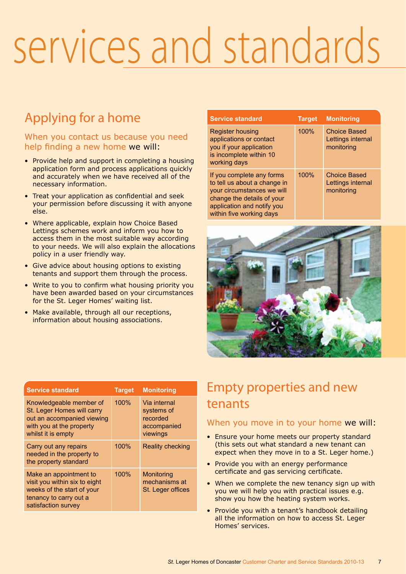## Applying for a home

### When you contact us because you need help finding a new home we will:

- Provide help and support in completing a housing application form and process applications quickly and accurately when we have received all of the necessary information.
- Treat your application as confidential and seek your permission before discussing it with anyone else.
- Where applicable, explain how Choice Based Lettings schemes work and inform you how to access them in the most suitable way according to your needs. We will also explain the allocations policy in a user friendly way.
- Give advice about housing options to existing tenants and support them through the process.
- Write to you to confirm what housing priority you have been awarded based on your circumstances for the St. Leger Homes' waiting list.
- Make available, through all our receptions, information about housing associations.

| <b>Service standard</b>                                                                                                                                                         | <b>Target</b> | <b>Monitoring</b>                                      |
|---------------------------------------------------------------------------------------------------------------------------------------------------------------------------------|---------------|--------------------------------------------------------|
| Register housing<br>applications or contact<br>you if your application<br>is incomplete within 10<br>working days                                                               | 100%          | <b>Choice Based</b><br>Lettings internal<br>monitoring |
| If you complete any forms<br>to tell us about a change in<br>your circumstances we will<br>change the details of your<br>application and notify you<br>within five working days | 100%          | <b>Choice Based</b><br>Lettings internal<br>monitoring |



| <b>Service standard</b>                                                                                                                | <b>Target</b> | <b>Monitoring</b>                                                 |
|----------------------------------------------------------------------------------------------------------------------------------------|---------------|-------------------------------------------------------------------|
| Knowledgeable member of<br>St. Leger Homes will carry<br>out an accompanied viewing<br>with you at the property<br>whilst it is empty  | 100%          | Via internal<br>systems of<br>recorded<br>accompanied<br>viewings |
| Carry out any repairs<br>needed in the property to<br>the property standard                                                            | 100%          | <b>Reality checking</b>                                           |
| Make an appointment to<br>visit you within six to eight<br>weeks of the start of your<br>tenancy to carry out a<br>satisfaction survey | 100%          | Monitoring<br>mechanisms at<br>St. Leger offices                  |

## Empty properties and new tenants

### When you move in to your home we will:

- Ensure your home meets our property standard (this sets out what standard a new tenant can expect when they move in to a St. Leger home.)
- Provide you with an energy performance certificate and gas servicing certificate.
- When we complete the new tenancy sign up with you we will help you with practical issues e.g. show you how the heating system works.
- Provide you with a tenant's handbook detailing all the information on how to access St. Leger Homes' services.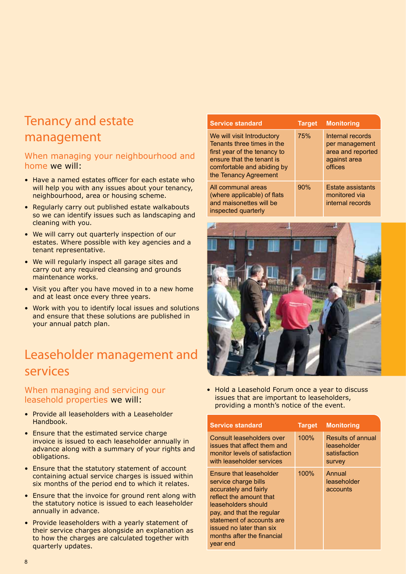## Tenancy and estate management

#### When managing your neighbourhood and home we will:

- Have a named estates officer for each estate who will help you with any issues about your tenancy, neighbourhood, area or housing scheme.
- Regularly carry out published estate walkabouts so we can identify issues such as landscaping and cleaning with you.
- We will carry out quarterly inspection of our estates. Where possible with key agencies and a tenant representative.
- We will regularly inspect all garage sites and carry out any required cleansing and grounds maintenance works.
- Visit you after you have moved in to a new home and at least once every three years.
- Work with you to identify local issues and solutions and ensure that these solutions are published in your annual patch plan.

## Leaseholder management and services

#### When managing and servicing our leasehold properties we will:

- Provide all leaseholders with a Leaseholder Handbook.
- Ensure that the estimated service charge invoice is issued to each leaseholder annually in advance along with a summary of your rights and obligations.
- Ensure that the statutory statement of account containing actual service charges is issued within six months of the period end to which it relates.
- Ensure that the invoice for ground rent along with the statutory notice is issued to each leaseholder annually in advance.
- Provide leaseholders with a yearly statement of their service charges alongside an explanation as to how the charges are calculated together with quarterly updates.

| <b>Service standard</b>                                                                                                                                                      | <b>Target</b> | <b>Monitoring</b>                                                                  |
|------------------------------------------------------------------------------------------------------------------------------------------------------------------------------|---------------|------------------------------------------------------------------------------------|
| We will visit Introductory<br>Tenants three times in the<br>first year of the tenancy to<br>ensure that the tenant is<br>comfortable and abiding by<br>the Tenancy Agreement | 75%           | Internal records<br>per management<br>area and reported<br>against area<br>offices |
| All communal areas<br>(where applicable) of flats<br>and maisonettes will be<br>inspected quarterly                                                                          | 90%           | <b>Estate assistants</b><br>monitored via<br>internal records                      |



• Hold a Leasehold Forum once a year to discuss issues that are important to leaseholders, providing a month's notice of the event.

| <b>Service standard</b>                                                                                                                                                                                                                                    | <b>Target</b> | <b>Monitoring</b>                                                 |
|------------------------------------------------------------------------------------------------------------------------------------------------------------------------------------------------------------------------------------------------------------|---------------|-------------------------------------------------------------------|
| Consult leaseholders over<br>issues that affect them and<br>monitor levels of satisfaction<br>with leaseholder services                                                                                                                                    | 100%          | <b>Results of annual</b><br>leaseholder<br>satisfaction<br>survey |
| Ensure that leaseholder<br>service charge bills<br>accurately and fairly<br>reflect the amount that<br>leaseholders should<br>pay, and that the regular<br>statement of accounts are<br>issued no later than six<br>months after the financial<br>year end | 100%          | Annual<br>leaseholder<br>accounts                                 |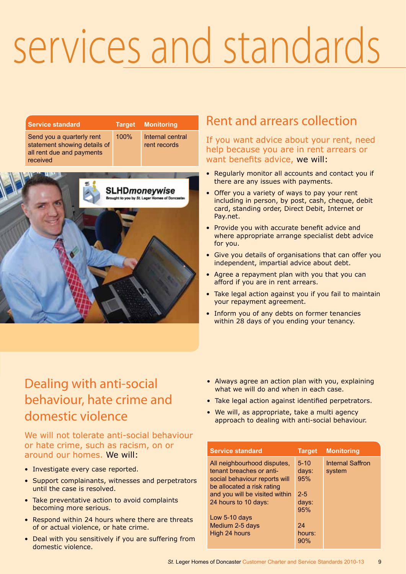| <b>Service standard</b>                                                                            | <b>Target</b> | <b>Monitoring</b>                |
|----------------------------------------------------------------------------------------------------|---------------|----------------------------------|
| Send you a quarterly rent<br>statement showing details of<br>all rent due and payments<br>received | 100%          | Internal central<br>rent records |



## Rent and arrears collection

If you want advice about your rent, need help because you are in rent arrears or want benefits advice, we will:

- Regularly monitor all accounts and contact you if there are any issues with payments.
- Offer you a variety of ways to pay your rent including in person, by post, cash, cheque, debit card, standing order, Direct Debit, Internet or Pay.net.
- Provide you with accurate benefit advice and where appropriate arrange specialist debt advice for you.
- Give you details of organisations that can offer you independent, impartial advice about debt.
- Agree a repayment plan with you that you can afford if you are in rent arrears.
- Take legal action against you if you fail to maintain your repayment agreement.
- Inform you of any debts on former tenancies within 28 days of you ending your tenancy.

## Dealing with anti-social behaviour, hate crime and domestic violence

### We will not tolerate anti-social behaviour or hate crime, such as racism, on or around our homes. We will:

- Investigate every case reported.
- Support complainants, witnesses and perpetrators until the case is resolved.
- Take preventative action to avoid complaints becoming more serious.
- Respond within 24 hours where there are threats of or actual violence, or hate crime.
- Deal with you sensitively if you are suffering from domestic violence.
- Always agree an action plan with you, explaining what we will do and when in each case.
- Take legal action against identified perpetrators.
- We will, as appropriate, take a multi agency approach to dealing with anti-social behaviour.

| <b>Service standard</b>        | <b>Target</b> | <b>Monitoring</b> |  |
|--------------------------------|---------------|-------------------|--|
| All neighbourhood disputes,    | $5 - 10$      | Internal Saffron  |  |
| tenant breaches or anti-       | days:         | system            |  |
| social behaviour reports will  | 95%           |                   |  |
| be allocated a risk rating     |               |                   |  |
| and you will be visited within | $2 - 5$       |                   |  |
| 24 hours to 10 days:           | days:         |                   |  |
|                                | 95%           |                   |  |
| Low 5-10 days                  |               |                   |  |
| Medium 2-5 days                | 24            |                   |  |
| High 24 hours                  | hours:        |                   |  |
|                                | 90%           |                   |  |
|                                |               |                   |  |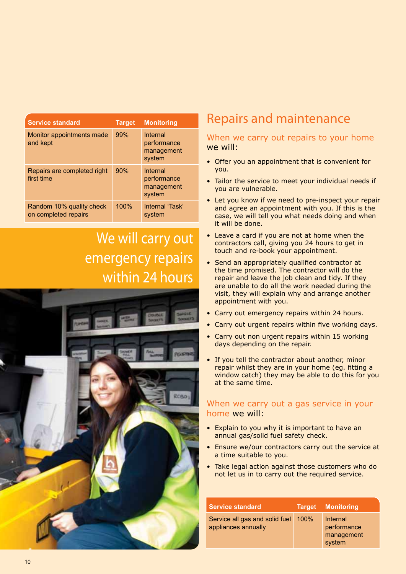| <b>Service standard</b>                          | <b>Target</b> | <b>Monitoring</b>                               |
|--------------------------------------------------|---------------|-------------------------------------------------|
| Monitor appointments made<br>and kept            | 99%           | Internal<br>performance<br>management<br>system |
| Repairs are completed right<br>first time        | 90%           | Internal<br>performance<br>management<br>system |
| Random 10% quality check<br>on completed repairs | 100%          | Internal 'Task'<br>system                       |

## We will carry out emergency repairs within 24 hours



## Repairs and maintenance

#### When we carry out repairs to your home we will:

- Offer you an appointment that is convenient for you.
- Tailor the service to meet your individual needs if you are vulnerable.
- Let you know if we need to pre-inspect your repair and agree an appointment with you. If this is the case, we will tell you what needs doing and when it will be done.
- Leave a card if you are not at home when the contractors call, giving you 24 hours to get in touch and re-book your appointment.
- Send an appropriately qualified contractor at the time promised. The contractor will do the repair and leave the job clean and tidy. If they are unable to do all the work needed during the visit, they will explain why and arrange another appointment with you.
- Carry out emergency repairs within 24 hours.
- Carry out urgent repairs within five working days.
- Carry out non urgent repairs within 15 working days depending on the repair.
- If you tell the contractor about another, minor repair whilst they are in your home (eg. fitting a window catch) they may be able to do this for you at the same time.

#### When we carry out a gas service in your home we will:

- Explain to you why it is important to have an annual gas/solid fuel safety check.
- Ensure we/our contractors carry out the service at a time suitable to you.
- Take legal action against those customers who do not let us in to carry out the required service.

| <b>Service standard</b>                               | <b>Target</b> | <b>Monitoring</b>                               |
|-------------------------------------------------------|---------------|-------------------------------------------------|
| Service all gas and solid fuel<br>appliances annually | 100%          | Internal<br>performance<br>management<br>system |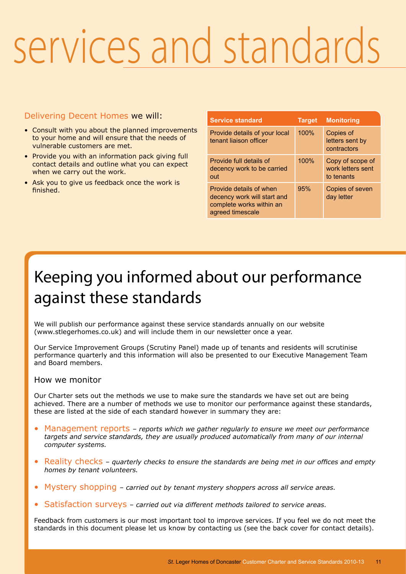### Delivering Decent Homes we will:

- Consult with you about the planned improvements to your home and will ensure that the needs of vulnerable customers are met.
- Provide you with an information pack giving full contact details and outline what you can expect when we carry out the work.
- Ask you to give us feedback once the work is finished.

| <b>Service standard</b>                                                                                | <b>Target</b> | <b>Monitoring</b>                                   |
|--------------------------------------------------------------------------------------------------------|---------------|-----------------------------------------------------|
|                                                                                                        |               |                                                     |
| Provide details of your local<br>tenant liaison officer                                                | 100%          | Copies of<br>letters sent by<br>contractors         |
| Provide full details of<br>decency work to be carried<br>out                                           | 100%          | Copy of scope of<br>work letters sent<br>to tenants |
| Provide details of when<br>decency work will start and<br>complete works within an<br>agreed timescale | 95%           | Copies of seven<br>day letter                       |

## Keeping you informed about our performance against these standards

We will publish our performance against these service standards annually on our website (www.stlegerhomes.co.uk) and will include them in our newsletter once a year.

Our Service Improvement Groups (Scrutiny Panel) made up of tenants and residents will scrutinise performance quarterly and this information will also be presented to our Executive Management Team and Board members.

#### How we monitor

Our Charter sets out the methods we use to make sure the standards we have set out are being achieved. There are a number of methods we use to monitor our performance against these standards, these are listed at the side of each standard however in summary they are:

- Management reports *reports which we gather regularly to ensure we meet our performance targets and service standards, they are usually produced automatically from many of our internal computer systems.*
- Reality checks *quarterly checks to ensure the standards are being met in our offices and empty homes by tenant volunteers.*
- Mystery shopping *carried out by tenant mystery shoppers across all service areas.*
- Satisfaction surveys *carried out via different methods tailored to service areas.*

Feedback from customers is our most important tool to improve services. If you feel we do not meet the standards in this document please let us know by contacting us (see the back cover for contact details).